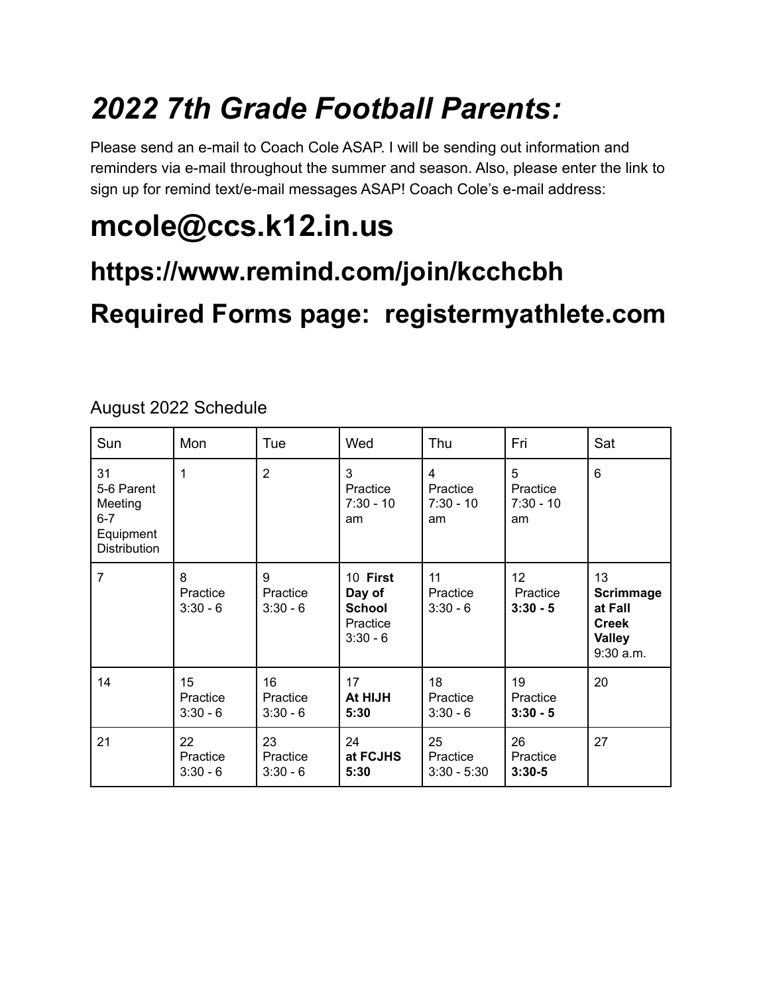## *2022 7th Grade Football Parents:*

Please send an e-mail to Coach Cole ASAP. I will be sending out information and reminders via e-mail throughout the summer and season. Also, please enter the link to sign up for remind text/e-mail messages ASAP! Coach Cole's e-mail address:

# **mcole@ccs.k12.in.us**

### **https://www.remind.com/join/kcchcbh**

## **Required Forms page: registermyathlete.com**

| Sun                                                                        | Mon                          | Tue                          | Wed                                                           | Thu                                | Fri                                | Sat                                                                               |
|----------------------------------------------------------------------------|------------------------------|------------------------------|---------------------------------------------------------------|------------------------------------|------------------------------------|-----------------------------------------------------------------------------------|
| 31<br>5-6 Parent<br>Meeting<br>$6 - 7$<br>Equipment<br><b>Distribution</b> | 1                            | $\overline{2}$               | 3<br>Practice<br>$7:30 - 10$<br>am                            | 4<br>Practice<br>$7:30 - 10$<br>am | 5<br>Practice<br>$7:30 - 10$<br>am | 6                                                                                 |
| $\overline{7}$                                                             | 8<br>Practice<br>$3:30 - 6$  | 9<br>Practice<br>$3:30 - 6$  | 10 First<br>Day of<br><b>School</b><br>Practice<br>$3:30 - 6$ | 11<br>Practice<br>$3:30 - 6$       | 12<br>Practice<br>$3:30 - 5$       | 13<br><b>Scrimmage</b><br>at Fall<br><b>Creek</b><br><b>Valley</b><br>$9:30$ a.m. |
| 14                                                                         | 15<br>Practice<br>$3:30 - 6$ | 16<br>Practice<br>$3:30 - 6$ | 17<br>At HIJH<br>5:30                                         | 18<br>Practice<br>$3:30 - 6$       | 19<br>Practice<br>$3:30 - 5$       | 20                                                                                |
| 21                                                                         | 22<br>Practice<br>$3:30 - 6$ | 23<br>Practice<br>$3:30 - 6$ | 24<br>at FCJHS<br>5:30                                        | 25<br>Practice<br>$3:30 - 5:30$    | 26<br>Practice<br>$3:30-5$         | 27                                                                                |

August 2022 Schedule